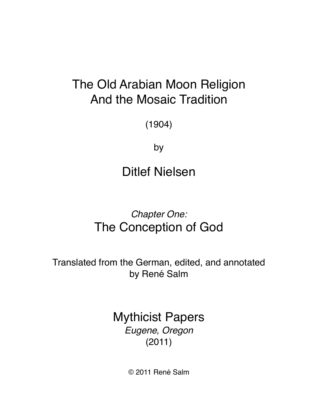# The Old Arabian Moon Religion And the Mosaic Tradition

(1904)

by

Ditlef Nielsen

## *Chapter One:* The Conception of God

Translated from the German, edited, and annotated by René Salm

> Mythicist Papers *Eugene, Oregon*  (2011)

> > © 2011 René Salm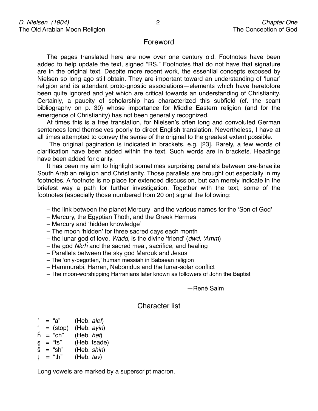## Foreword

The pages translated here are now over one century old. Footnotes have been added to help update the text, signed "RS." Footnotes that do not have that signature are in the original text. Despite more recent work, the essential concepts exposed by Nielsen so long ago still obtain. They are important toward an understanding of ʻlunar' religion and its attendant proto-gnostic associations—elements which have heretofore been quite ignored and yet which are critical towards an understanding of Christianity. Certainly, a paucity of scholarship has characterized this subfield (cf. the scant bibliography on p. 30) whose importance for Middle Eastern religion (and for the emergence of Christianity) has not been generally recognized.

At times this is a free translation, for Nielsen's often long and convoluted German sentences lend themselves poorly to direct English translation. Nevertheless, I have at all times attempted to convey the sense of the original to the greatest extent possible.

 The original pagination is indicated in brackets, e.g. [23]. Rarely, a few words of clarification have been added within the text. Such words are in brackets. Headings have been added for clarity.

It has been my aim to highlight sometimes surprising parallels between pre-Israelite South Arabian religion and Christianity. Those parallels are brought out especially in my footnotes. A footnote is no place for extended discussion, but can merely indicate in the briefest way a path for further investigation. Together with the text, some of the footnotes (especially those numbered from 20 on) signal the following:

- the link between the planet Mercury and the various names for the ʻSon of God'
- Mercury, the Egyptian Thoth, and the Greek Hermes
- Mercury and ʻhidden knowledge'
- The moon ʻhidden' for three sacred days each month
- the lunar god of love, *Wadd*, is the divine ʻfriend' (*dwd,* ʻ*Amm*)
- the god *Nkr*ĥ and the sacred meal, sacrifice, and healing
- Parallels between the sky god Marduk and Jesus
- The ʻonly-begotten,' human messiah in Sabaean religion
- Hammurabi, Harran, Nabonidus and the lunar-solar conflict
- The moon-worshipping Harranians later known as followers of John the Baptist

-René Salm

## Character list

- = "a" (Heb. *alef*)
- $=$  (stop) (Heb.  $a$ *yin*)
- 
- $\hat{h}$  = "ch" (Heb. *het*)<br> $\hat{s}$  = "ts" (Heb. tsade (Heb. tsade)
- š = "sh" (Heb. *shin*)
- ț = "th" (Heb. *tav*)

Long vowels are marked by a superscript macron.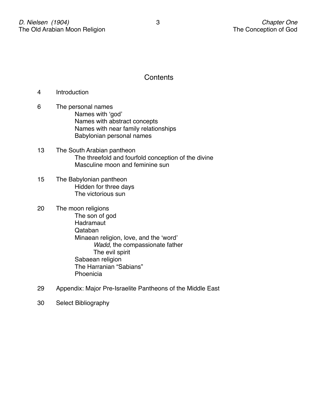## **Contents**

- 4 Introduction
- 6 The personal names Names with 'god' Names with abstract concepts Names with near family relationships Babylonian personal names
- 13 The South Arabian pantheon The threefold and fourfold conception of the divine Masculine moon and feminine sun
- 15 The Babylonian pantheon Hidden for three days The victorious sun
- 20 The moon religions The son of god **Hadramaut** Qataban Minaean religion, love, and the 'word' *Wadd*, the compassionate father The evil spirit Sabaean religion The Harranian "Sabians" **Phoenicia**
- 29 Appendix: Major Pre-Israelite Pantheons of the Middle East
- 30 Select Bibliography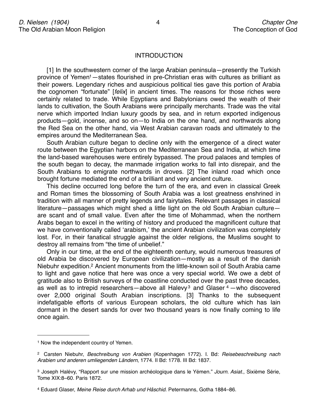#### **INTRODUCTION**

[1] In the southwestern corner of the large Arabian peninsula—presently the Turkish province of Yeme[n1](#page-3-0)—states flourished in pre-Christian eras with cultures as brilliant as their powers. Legendary riches and auspicious political ties gave this portion of Arabia the cognomen "fortunate" [*felix*] in ancient times. The reasons for those riches were certainly related to trade. While Egyptians and Babylonians owed the wealth of their lands to cultivation, the South Arabians were principally merchants. Trade was the vital nerve which imported Indian luxury goods by sea, and in return exported indigenous products—gold, incense, and so on—to India on the one hand, and northwards along the Red Sea on the other hand, via West Arabian caravan roads and ultimately to the empires around the Mediterranean Sea.

South Arabian culture began to decline only with the emergence of a direct water route between the Egyptian harbors on the Mediterranean Sea and India, at which time the land-based warehouses were entirely bypassed. The proud palaces and temples of the south began to decay, the manmade irrigation works to fall into disrepair, and the South Arabians to emigrate northwards in droves. [2] The inland road which once brought fortune mediated the end of a brilliant and very ancient culture.

This decline occurred long before the turn of the era, and even in classical Greek and Roman times the blossoming of South Arabia was a lost greatness enshrined in tradition with all manner of pretty legends and fairytales. Relevant passages in classical literature—passages which might shed a little light on the old South Arabian culture are scant and of small value. Even after the time of Mohammad, when the northern Arabs began to excel in the writing of history and produced the magnificent culture that we have conventionally called ʻarabism,' the ancient Arabian civilization was completely lost. For, in their fanatical struggle against the older religions, the Muslims sought to destroy all remains from "the time of unbelief."

Only in our time, at the end of the eighteenth century, would numerous treasures of old Arabia be discovered by European civilization—mostly as a result of the danish Niebuhr expedition[.2](#page-3-1) Ancient monuments from the little-known soil of South Arabia came to light and gave notice that here was once a very special world. We owe a debt of gratitude also to British surveys of the coastline conducted over the past three decades, as well as to intrepid researchers—above all Halevy<sup>[3](#page-3-2)</sup> and Glaser  $4$  —who discovered over 2,000 original South Arabian inscriptions. [3] Thanks to the subsequent indefatigable efforts of various European scholars, the old culture which has lain dormant in the desert sands for over two thousand years is now finally coming to life once again.

<span id="page-3-0"></span><sup>&</sup>lt;sup>1</sup> Now the independent country of Yemen.

<span id="page-3-1"></span><sup>2</sup> Carsten Niebuhr, *Beschreibung von Arabien* (Kopenhagen 1772). I. Bd: *Reisebeschreibung nach Arabien und anderen umliegenden Ländern*, 1774. II Bd: 1778. III Bd: 1837.

<span id="page-3-2"></span><sup>3</sup> Joseph Halévy, "Rapport sur une mission archéologique dans le Yémen." *Journ. Asiat.*, Sixième Série, Tome XIX:8–60. Paris 1872.

<span id="page-3-3"></span><sup>4</sup> Eduard Glaser, *Meine Reise durch Arhab und Hâschid*. Petermanns, Gotha 1884–86.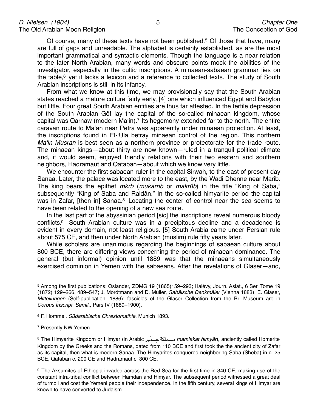Of course, many of these texts have not been published.<sup>[5](#page-4-0)</sup> Of those that have, many are full of gaps and unreadable. The alphabet is certainly established, as are the most important grammatical and syntactic elements. Though the language is a near relation to the later North Arabian, many words and obscure points mock the abilities of the investigator, especially in the cultic inscriptions. A minaean-sabaean grammar lies on the table, $6$  yet it lacks a lexicon and a reference to collected texts. The study of South Arabian inscriptions is still in its infancy.

From what we know at this time, we may provisionally say that the South Arabian states reached a mature culture fairly early, [4] one which influenced Egypt and Babylon but little. Four great South Arabian entities are thus far attested. In the fertile depression of the South Arabian Gôf lay the capital of the so-called minaean kingdom, whose capital was Qarnaw (modern Maʻin)[.7](#page-4-2) Its hegemony extended far to the north. The entire caravan route to Maʻan near Petra was apparently under minaean protection. At least, the inscriptions found in El-ʻUla betray minaean control of the region. This northern *Ma*ʻ*in Musran* is best seen as a northern province or protectorate for the trade route. The minaean kings—about thirty are now known—ruled in a tranquil political climate and, it would seem, enjoyed friendly relations with their two eastern and southern neighbors, Hadramaut and Qataban—about which we know very little.

We encounter the first sabaean ruler in the capital Sirwah, to the east of present day Sanaa. Later, the palace was located more to the east, by the Wadi Dhenne near Marib. The king bears the epithet *mkrb* (*mukarrib* or *makrûb*) in the title "King of Saba," subsequently "King of Saba and Raidân." In the so-called himyarite period the capital was in Zafar, [then in] Sanaa.<sup>8</sup> Locating the center of control near the sea seems to have been related to the opening of a new sea route.

In the last part of the abyssinian period [sic] the inscriptions reveal numerous bloody conflicts[.9](#page-4-4) South Arabian culture was in a precipitous decline and a decadence is evident in every domain, not least religious. [5] South Arabia came under Persian rule about 575 CE, and then under North Arabian (muslim) rule fifty years later.

While scholars are unanimous regarding the beginnings of sabaean culture about 800 BCE, there are differing views concerning the period of minaean dominance. The general (but informal) opinion until 1889 was that the minaeans simultaneously exercised dominion in Yemen with the sabaeans. After the revelations of Glaser—and,

- <span id="page-4-1"></span>6 F. Hommel, *Südarabische Chrestomathie*. Munich 1893.
- <span id="page-4-2"></span>7 Presently NW Yemen.

<span id="page-4-0"></span><sup>5</sup> Among the first publications: Osiander, ZDMG 19 (1865)159–293; Halévy, Journ. Asiat., 6 Ser. Tome 19 (1872) 129–266, 489–547; J. Mordtmann and D. Müller, *Sabäische Denkmäler* (Vienna 1883); E. Glaser, *Mitteilungen* (Self-publication, 1886); fascicles of the Glaser Collection from the Br. Museum are in *Corpus Inscript. Semit.*, Pars IV (1889–1900).

<span id="page-4-3"></span><sup>8</sup> The Himyarite Kingdom or Himyar (in Arabic !"َ\$" ْ&"""""""" ِ( )"\*"+"&""""""""", *mamlakat* ħ*imyâr*), anciently called Homerite Kingdom by the Greeks and the Romans, dated from 110 BCE and first took the the ancient city of Zafar as its capital, then what is modern Sanaa. The Himyarites conquered neighboring Saba (Sheba) in c. 25 BCE, Qataban c. 200 CE and Hadramaut c. 300 CE.

<span id="page-4-4"></span><sup>9</sup> The Aksumites of Ethiopia invaded across the Red Sea for the first time in 340 CE, making use of the constant intra-tribal conflict between Hamdan and Himyar. The subsequent period witnessed a great deal of turmoil and cost the Yemeni people their independence. In the fifth century, several kings of Himyar are known to have converted to Judaism.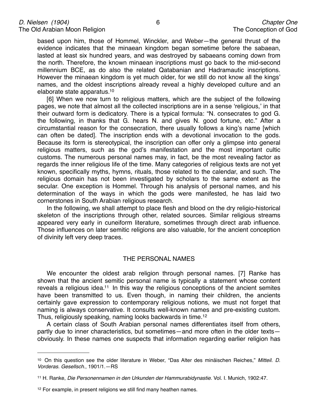based upon him, those of Hommel, Winckler, and Weber—the general thrust of the evidence indicates that the minaean kingdom began sometime before the sabaean, lasted at least six hundred years, and was destroyed by sabaeans coming down from the north. Therefore, the known minaean inscriptions must go back to the mid-second millennium BCE, as do also the related Qatabanian and Hadramautic inscriptions. However the minaean kingdom is yet much older, for we still do not know all the kings' names, and the oldest inscriptions already reveal a highly developed culture and an elaborate state apparatus[.10](#page-5-0)

[6] When we now turn to religious matters, which are the subject of the following pages, we note that almost all the collected inscriptions are in a sense ʻreligious,' in that their outward form is dedicatory. There is a typical formula: "N. consecrates to god G. the following, in thanks that G. hears N. and gives N. good fortune, etc." After a circumstantial reason for the consecration, there usually follows a king's name [which can often be dated]. The inscription ends with a devotional invocation to the gods. Because its form is stereotypical, the inscription can offer only a glimpse into general religious matters, such as the god's manifestation and the most important cultic customs. The numerous personal names may, in fact, be the most revealing factor as regards the inner religious life of the time. Many categories of religious texts are not yet known, specifically myths, hymns, rituals, those related to the calendar, and such. The religious domain has not been investigated by scholars to the same extent as the secular. One exception is Hommel. Through his analysis of personal names, and his determination of the ways in which the gods were manifested, he has laid two cornerstones in South Arabian religious research.

In the following, we shall attempt to place flesh and blood on the dry religio-historical skeleton of the inscriptions through other, related sources. Similar religious streams appeared very early in cuneiform literature, sometimes through direct arab influence. Those influences on later semitic religions are also valuable, for the ancient conception of divinity left very deep traces.

#### THE PERSONAL NAMES

We encounter the oldest arab religion through personal names. [7] Ranke has shown that the ancient semitic personal name is typically a statement whose content reveals a religious idea.<sup>11</sup> In this way the religious conceptions of the ancient semites have been transmitted to us. Even though, in naming their children, the ancients certainly gave expression to contemporary religious notions, we must not forget that naming is always conservative. It consults well-known names and pre-existing custom. Thus, religiously speaking, naming looks backwards in time[.12](#page-5-2)

A certain class of South Arabian personal names differentiates itself from others, partly due to inner characteristics, but sometimes—and more often in the older texts obviously. In these names one suspects that information regarding earlier religion has

<span id="page-5-0"></span><sup>10</sup> On this question see the older literature in Weber, "Das Alter des minäischen Reiches," *Mitteil. D. Vorderas. Gesellsch*., 1901/1.—RS

<span id="page-5-1"></span><sup>11</sup> H. Ranke, *Die Personennamen in den Urkunden der Hammurabidynastie*. Vol. I. Munich, 1902:47.

<span id="page-5-2"></span><sup>&</sup>lt;sup>12</sup> For example, in present religions we still find many heathen names.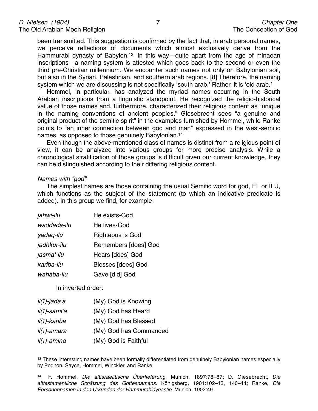been transmitted. This suggestion is confirmed by the fact that, in arab personal names, we perceive reflections of documents which almost exclusively derive from the Hammurabi dynasty of Babylon.<sup>13</sup> In this way—quite apart from the age of minaean inscriptions—a naming system is attested which goes back to the second or even the third pre-Christian millennium. We encounter such names not only on Babylonian soil, but also in the Syrian, Palestinian, and southern arab regions. [8] Therefore, the naming system which we are discussing is not specifically ʻsouth arab.' Rather, it is ʻold arab.'

Hommel, in particular, has analyzed the myriad names occurring in the South Arabian inscriptions from a linguistic standpoint. He recognized the religio-historical value of those names and, furthermore, characterized their religious content as "unique in the naming conventions of ancient peoples." Giesebrecht sees "a genuine and original product of the semitic spirit" in the examples furnished by Hommel, while Ranke points to "an inner connection between god and man" expressed in the west-semitic names, as opposed to those genuinely Babylonian[.14](#page-6-1)

Even though the above-mentioned class of names is distinct from a religious point of view, it can be analyzed into various groups for more precise analysis. While a chronological stratification of those groups is difficult given our current knowledge, they can be distinguished according to their differing religious content.

#### *Names with "god"*

The simplest names are those containing the usual Semitic word for god, EL or ILU, which functions as the subject of the statement (to which an indicative predicate is added). In this group we find, for example:

| jahwi-ilu   | He exists-God             |
|-------------|---------------------------|
| waddada-ilu | He lives-God              |
| sadaq-ilu   | <b>Righteous is God</b>   |
| jadhkur-ilu | Remembers [does] God      |
| jasma'-ilu  | Hears [does] God          |
| kariba-ilu  | <b>Blesses [does] God</b> |
| wahaba-ilu  | Gave [did] God            |

In inverted order:

| il(ī)-jada'a         | (My) God is Knowing    |
|----------------------|------------------------|
| il(ī)-samiʻa         | (My) God has Heard     |
| il(ī)-kariba         | (My) God has Blessed   |
| $il(\bar{l})$ -amara | (My) God has Commanded |
| $il(\bar{l})$ -amina | (My) God is Faithful   |

<span id="page-6-0"></span><sup>&</sup>lt;sup>13</sup> These interesting names have been formally differentiated from genuinely Babylonian names especially by Pognon, Sayce, Hommel, Winckler, and Ranke.

<span id="page-6-1"></span><sup>14</sup> F. Hommel, *Die altisraelitische Überlieferung*. Munich, 1897:78–87; D. Giesebrecht, *Die alttestamentliche Schätzung des Gottesnamens*. Königsberg, 1901:102–13, 140–44; Ranke, *Die Personennamen in den Urkunden der Hammurabidynastie*. Munich, 1902:49.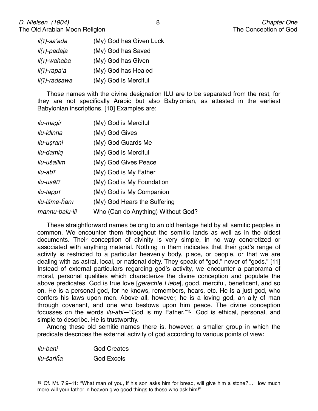| il(ī)-saʻada          | (My) God has Given Luck |
|-----------------------|-------------------------|
| il(ī)-padaja          | (My) God has Saved      |
| il(ī)-wahaba          | (My) God has Given      |
| $il(\bar{l})$ -rapa'a | (My) God has Healed     |
| il(ī)-radsawa         | (My) God is Merciful    |

Those names with the divine designation ILU are to be separated from the rest, for they are not specifically Arabic but also Babylonian, as attested in the earliest Babylonian inscriptions. [10] Examples are:

| ilu-magir        | (My) God is Merciful               |
|------------------|------------------------------------|
| ilu-idinna       | (My) God Gives                     |
| ilu-uşrani       | (My) God Guards Me                 |
| ilu-damiq        | (My) God is Merciful               |
| ilu-ušallim      | (My) God Gives Peace               |
| ilu-abī          | (My) God is My Father              |
| ilu-usātī        | (My) God is My Foundation          |
| <i>ilu-tappī</i> | (My) God is My Companion           |
| ilu-išme-ĥanī    | (My) God Hears the Suffering       |
| mannu-balu-ili   | Who (Can do Anything) Without God? |
|                  |                                    |

These straightforward names belong to an old heritage held by all semitic peoples in common. We encounter them throughout the semitic lands as well as in the oldest documents. Their conception of divinity is very simple, in no way concretized or associated with anything material. Nothing in them indicates that their god's range of activity is restricted to a particular heavenly body, place, or people, or that we are dealing with as astral, local, or national deity. They speak of "god," never of "gods." [11] Instead of external particulars regarding god's activity, we encounter a panorama of moral, personal qualities which characterize the divine conception and populate the above predicates. God is true love [*gerechte Liebe*], good, merciful, beneficent, and so on. He is a personal god, for he knows, remembers, hears, etc. He is a just god, who confers his laws upon men. Above all, however, he is a loving god, an ally of man through covenant, and one who bestows upon him peace. The divine conception focusses on the words *ilu-abi*—"God is my Father."[15](#page-7-0) God is ethical, personal, and simple to describe. He is trustworthy.

Among these old semitic names there is, however, a smaller group in which the predicate describes the external activity of god according to various points of view:

| ilu-bani   | <b>God Creates</b> |
|------------|--------------------|
| ilu-šariĥa | <b>God Excels</b>  |

<span id="page-7-0"></span><sup>15</sup> Cf. Mt. 7:9–11: "What man of you, if his son asks him for bread, will give him a stone?… How much more will your father in heaven give good things to those who ask him!"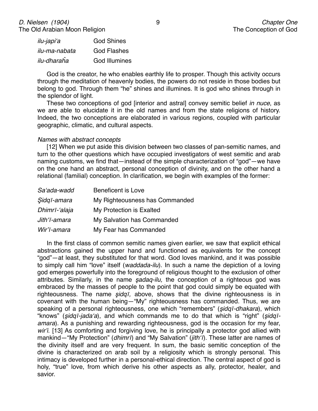| ilu-japiʻa    | <b>God Shines</b>    |
|---------------|----------------------|
| ilu-ma-nabata | <b>God Flashes</b>   |
| ilu-dharaĥa   | <b>God Illumines</b> |

God is the creator, he who enables earthly life to prosper. Though this activity occurs through the meditation of heavenly bodies, the powers do not reside in those bodies but belong to god. Through them "he" shines and illumines. It is god who shines through in the splendor of light.

These two conceptions of god [interior and astral] convey semitic belief *in nuce*, as we are able to elucidate it in the old names and from the state religions of history. Indeed, the two conceptions are elaborated in various regions, coupled with particular geographic, climatic, and cultural aspects.

#### *Names with abstract concepts*

[12] When we put aside this division between two classes of pan-semitic names, and turn to the other questions which have occupied investigators of west semitic and arab naming customs, we find that—instead of the simple characterization of "god"—we have on the one hand an abstract, personal conception of divinity, and on the other hand a relational (familial) conception. In clarification, we begin with examples of the former:

| Sa'ada-wadd   | <b>Beneficent is Love</b>      |
|---------------|--------------------------------|
| Sidgī-amara   | My Righteousness has Commanded |
| Dhimrī-'alaja | My Protection is Exalted       |
| Jith'ī-amara  | My Salvation has Commanded     |
| Wir'ī-amara   | My Fear has Commanded          |

In the first class of common semitic names given earlier, we saw that explicit ethical abstractions gained the upper hand and functioned as equivalents for the concept "god"—at least, they substituted for that word. God loves mankind, and it was possible to simply call him "love" itself (*waddada-ilu*). In such a name the depiction of a loving god emerges powerfully into the foreground of religious thought to the exclusion of other attributes. Similarly, in the name ş*adaq-ilu,* the conception of a righteous god was embraced by the masses of people to the point that god could simply be equated with righteousness. The name ş*idq*ī*,* above, shows that the divine righteousness is in covenant with the human being—"My" righteousness has commanded. Thus, we are speaking of a personal righteousness, one which "remembers" (ş*idq*ī*-dhakara*), which "knows" (ş*idq*ī*-jada*ʻ*a*), and which commands me to do that which is "right" (ş*idq*ī*amara*). As a punishing and rewarding righteousness, god is the occasion for my fear, *wir*'*i*. [13] As comforting and forgiving love, he is principally a protector god allied with mankind—"My Protection" (*dhimr*ī) and "My Salvation" (*jith*ʻī). These latter are names of the divinity itself and are very frequent. In sum, the basic semitic conception of the divine is characterized on arab soil by a religiosity which is strongly personal. This intimacy is developed further in a personal-ethical direction. The central aspect of god is holy, "true" love, from which derive his other aspects as ally, protector, healer, and savior.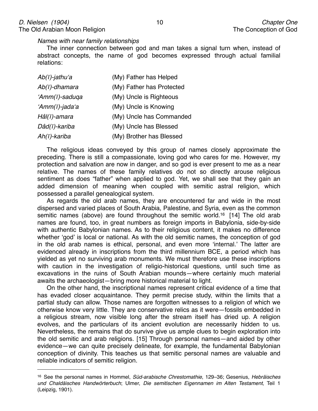*Names with near family relationships*

The inner connection between god and man takes a signal turn when, instead of abstract concepts, the name of god becomes expressed through actual familial relations:

| Ab(ī)-jathuʻa                 | (My) Father has Helped    |
|-------------------------------|---------------------------|
| Ab(ī)-dhamara                 | (My) Father has Protected |
| 'Amm(ī)-saduqa                | (My) Uncle is Righteous   |
| 'Amm( $\overline{1}$ )-jada'a | (My) Uncle is Knowing     |
| Hâl(ī)-amara                  | (My) Uncle has Commanded  |
| Dâd(ī)-kariba                 | (My) Uncle has Blessed    |
| Ah(ī)-kariba                  | (My) Brother has Blessed  |

The religious ideas conveyed by this group of names closely approximate the preceding. There is still a compassionate, loving god who cares for me. However, my protection and salvation are now in danger, and so god is ever present to me as a near relative. The names of these family relatives do not so directly arouse religious sentiment as does "father" when applied to god. Yet, we shall see that they gain an added dimension of meaning when coupled with semitic astral religion, which possessed a parallel genealogical system.

As regards the old arab names, they are encountered far and wide in the most dispersed and varied places of South Arabia, Palestine, and Syria, even as the common semitic names (above) are found throughout the semitic world.<sup>16</sup> [14] The old arab names are found, too, in great numbers as foreign imports in Babylonia, side-by-side with authentic Babylonian names. As to their religious content, it makes no difference whether ʻgod' is local or national. As with the old semitic names, the conception of god in the old arab names is ethical, personal, and even more ʻinternal.' The latter are evidenced already in inscriptions from the third millennium BCE, a period which has yielded as yet no surviving arab monuments. We must therefore use these inscriptions with caution in the investigation of religio-historical questions, until such time as excavations in the ruins of South Arabian mounds—where certainly much material awaits the archaeologist—bring more historical material to light.

On the other hand, the inscriptional names represent critical evidence of a time that has evaded closer acquaintance. They permit precise study, within the limits that a partial study can allow. Those names are forgotten witnesses to a religion of which we otherwise know very little. They are conservative relics as it were—fossils embedded in a religious stream, now visible long after the stream itself has dried up. A religion evolves, and the particulars of its ancient evolution are necessarily hidden to us. Nevertheless, the remains that do survive give us ample clues to begin exploration into the old semitic and arab religions. [15] Through personal names—and aided by other evidence—we can quite precisely delineate, for example, the fundamental Babylonian conception of divinity. This teaches us that semitic personal names are valuable and reliable indicators of semitic religion.

<span id="page-9-0"></span><sup>16</sup> See the personal names in Hommel, *Süd-arabische Chrestomathie*, 129–36; Gesenius, *Hebräisches und Chaldäisches Handwörterbuch*; Ulmer, *Die semitischen Eigennamen im Alten Testament*, Teil 1 (Leipzig, 1901).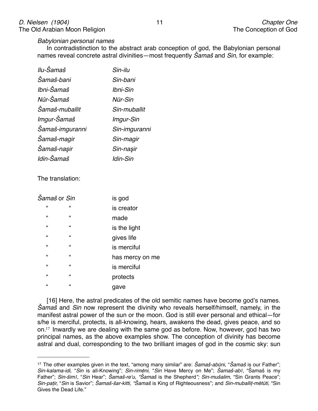#### *Babylonian personal names*

In contradistinction to the abstract arab conception of god, the Babylonian personal names reveal concrete astral divinities—most frequently Š*ama*š and *Sin*, for example:

| Ilu-Šamaš       | Sin-ilu       |
|-----------------|---------------|
| Šamaš-bani      | Sin-bani      |
| Ibni-Šamaš      | Ibni-Sin      |
| Nûr-Šamaš       | Nūr-Sin       |
| Šamaš-muballit  | Sin-muballit  |
| Imgur-Šamaš     | Imgur-Sin     |
| Šamaš-imguranni | Sin-imguranni |
| Šamaš-magir     | Sin-magir     |
| Šamaš-naşir     | Sin-naşir     |
| Idin-Šamaš      | Idin-Sin      |

The translation:

| Šamaš or Sin     |                  | is god          |
|------------------|------------------|-----------------|
| $\epsilon$       | $\pmb{\epsilon}$ | is creator      |
| $\epsilon$       | $\pmb{\epsilon}$ | made            |
| $\pmb{\epsilon}$ | $\pmb{\epsilon}$ | is the light    |
| $\epsilon$       | $\pmb{\epsilon}$ | gives life      |
| $\epsilon$       | $\pmb{\epsilon}$ | is merciful     |
| $\epsilon$       | $\pmb{\epsilon}$ | has mercy on me |
| $\epsilon$       | $\pmb{\epsilon}$ | is merciful     |
| $\epsilon$       | $\pmb{\epsilon}$ | protects        |
| $\epsilon$       | $\pmb{\epsilon}$ | gave            |

[16] Here, the astral predicates of the old semitic names have become god's names. Š*ama*š and *Sin* now represent the divinity who reveals herself/himself, namely, in the manifest astral power of the sun or the moon. God is still ever personal and ethical—for s/he is merciful, protects, is all-knowing, hears, awakens the dead, gives peace, and so on.[17](#page-10-0) Inwardly we are dealing with the same god as before. Now, however, god has two principal names, as the above examples show. The conception of divinity has become astral and dual, corresponding to the two brilliant images of god in the cosmic sky: sun

<span id="page-10-0"></span><sup>17</sup> The other examples given in the text, "among many similar" are: Š*ama*š*-ab*ū*ni*, "Š*ama*š is our Father"; *Sin-kalama-idi*, "*Sin* is all-Knowing"; *Sin-rim*ē*ni*, "*Sin* Have Mercy on Me"; Š*ama*š*-ab*ī, "Šamaš is my Father"; *Sin-*š*im*ī, "*Sin* Hear"; Š*ama*š*-re*ʻ*u, "*Š*ama*š is the Shepherd*"; Sin-mu*š*alim*, "Sin Grants Peace"; *Sin-pa*ț*ir,* "*Sin* is Savior"; Š*ama*š*-*š*ar-kitti, "*Š*ama*š is King of Righteousness"; and *Sin-muballi*ț*-m*ē*t*ū*ti,* "Sin Gives the Dead Life."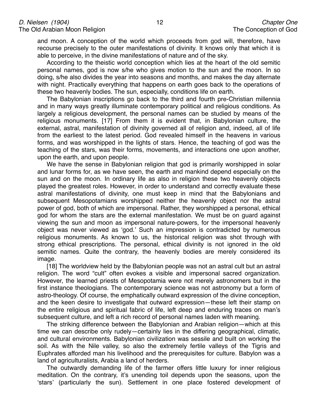and moon. A conception of the world which proceeds from god will, therefore, have recourse precisely to the outer manifestations of divinity. It knows only that which it is able to perceive, in the divine manifestations of nature and of the sky.

According to the theistic world conception which lies at the heart of the old semitic personal names, god is now s/he who gives motion to the sun and the moon. In so doing, s/he also divides the year into seasons and months, and makes the day alternate with night. Practically everything that happens on earth goes back to the operations of these two heavenly bodies. The sun, especially, conditions life on earth.

The Babylonian inscriptions go back to the third and fourth pre-Christian millennia and in many ways greatly illuminate contemporary political and religious conditions. As largely a religious development, the personal names can be studied by means of the religious monuments. [17] From them it is evident that, in Babylonian culture, the external, astral, manifestation of divinity governed all of religion and, indeed, all of life from the earliest to the latest period. God revealed himself in the heavens in various forms, and was worshipped in the lights of stars. Hence, the teaching of god was the teaching of the stars, was their forms, movements, and interactions one upon another, upon the earth, and upon people.

We have the sense in Babylonian religion that god is primarily worshipped in solar and lunar forms for, as we have seen, the earth and mankind depend especially on the sun and on the moon. In ordinary life as also in religion these two heavenly objects played the greatest roles. However, in order to understand and correctly evaluate these astral manifestations of divinity, one must keep in mind that the Babylonians and subsequent Mesopotamians worshipped neither the heavenly object nor the astral power of god, both of which are impersonal. Rather, they worshipped a personal, ethical god for whom the stars are the external manifestation. We must be on guard against viewing the sun and moon as impersonal nature-powers, for the impersonal heavenly object was never viewed as ʻgod.' Such an impression is contradicted by numerous religious monuments. As known to us, the historical religion was shot through with strong ethical prescriptions. The personal, ethical divinity is not ignored in the old semitic names. Quite the contrary, the heavenly bodies are merely considered its image.

[18] The worldview held by the Babylonian people was not an astral cult but an astral religion. The word "cult" often evokes a visible and impersonal sacred organization. However, the learned priests of Mesopotamia were not merely astronomers but in the first instance theologians. The contemporary science was not astronomy but a form of astro-theology. Of course, the emphatically outward expression of the divine conception, and the keen desire to investigate that outward expression—these left their stamp on the entire religious and spiritual fabric of life, left deep and enduring traces on man's subsequent culture, and left a rich record of personal names laden with meaning.

The striking difference between the Babylonian and Arabian religion—which at this time we can describe only rudely—certainly lies in the differing geographical, climatic, and cultural environments. Babylonian civilization was sessile and built on working the soil. As with the Nile valley, so also the extremely fertile valleys of the Tigris and Euphrates afforded man his livelihood and the prerequisites for culture. Babylon was a land of agriculturalists, Arabia a land of herders.

The outwardly demanding life of the farmer offers little luxury for inner religious meditation. On the contrary, it's unending toil depends upon the seasons, upon the ʻstars' (particularly the sun). Settlement in one place fostered development of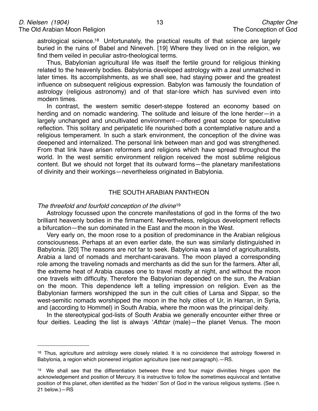astrological science[.18](#page-12-0) Unfortunately, the practical results of that science are largely buried in the ruins of Babel and Nineveh. [19] Where they lived on in the religion, we find them veiled in peculiar astro-theological terms.

Thus, Babylonian agricultural life was itself the fertile ground for religious thinking related to the heavenly bodies. Babylonia developed astrology with a zeal unmatched in later times. Its accomplishments, as we shall see, had staying power and the greatest influence on subsequent religious expression. Babylon was famously the foundation of astrology (religious astronomy) and of that star-lore which has survived even into modern times.

In contrast, the western semitic desert-steppe fostered an economy based on herding and on nomadic wandering. The solitude and leisure of the lone herder—in a largely unchanged and uncultivated environment—offered great scope for speculative reflection. This solitary and peripatetic life nourished both a contemplative nature and a religious temperament. In such a stark environment, the conception of the divine was deepened and internalized. The personal link between man and god was strengthened. From that link have arisen reformers and religions which have spread throughout the world. In the west semitic environment religion received the most sublime religious content. But we should not forget that its outward forms—the planetary manifestations of divinity and their workings—nevertheless originated in Babylonia.

#### THE SOUTH ARABIAN PANTHEON

#### *The threefold and fourfold conception of the divine*[19](#page-12-1)

Astrology focussed upon the concrete manifestations of god in the forms of the two brilliant heavenly bodies in the firmament. Nevertheless, religious development reflects a bifurcation—the sun dominated in the East and the moon in the West.

Very early on, the moon rose to a position of predominance in the Arabian religious consciousness. Perhaps at an even earlier date, the sun was similarly distinguished in Babylonia. [20] The reasons are not far to seek. Babylonia was a land of agriculturalists, Arabia a land of nomads and merchant-caravans. The moon played a corresponding role among the traveling nomads and merchants as did the sun for the farmers. After all, the extreme heat of Arabia causes one to travel mostly at night, and without the moon one travels with difficulty. Therefore the Babylonian depended on the sun, the Arabian on the moon. This dependence left a telling impression on religion. Even as the Babylonian farmers worshipped the sun in the cult cities of Larsa and Sippar, so the west-semitic nomads worshipped the moon in the holy cities of Ur, in Harran, in Syria, and (according to Hommel) in South Arabia, where the moon was the principal deity.

In the stereotypical god-lists of South Arabia we generally encounter either three or four deities. Leading the list is always ʻ*Athtar* (male)—the planet Venus. The moon

<span id="page-12-0"></span><sup>&</sup>lt;sup>18</sup> Thus, agriculture and astrology were closely related. It is no coincidence that astrology flowered in Babylonia, a region which pioneered irrigation agriculture (see next paragraph).—RS.

<span id="page-12-1"></span><sup>&</sup>lt;sup>19</sup> We shall see that the differentiation between three and four major divinities hinges upon the acknowledgement and position of Mercury. It is instructive to follow the sometimes equivocal and tentative position of this planet, often identified as the ʻhidden' Son of God in the various religious systems. (See n. 21 below.)—RS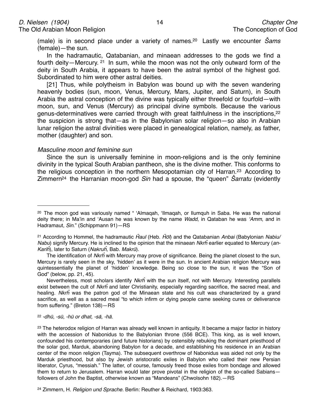(male) is in second place under a variety of names[.20](#page-13-0) Lastly we encounter Š*ams* (female)—the sun.

In the hadramautic, Qatabanian, and minaean addresses to the gods we find a fourth deity—Mercury. [21](#page-13-1) In sum, while the moon was not the only outward form of the deity in South Arabia, it appears to have been the astral symbol of the highest god. Subordinated to him were other astral deities.

[21] Thus, while polytheism in Babylon was bound up with the seven wandering heavenly bodies (sun, moon, Venus, Mercury, Mars, Jupiter, and Saturn), in South Arabia the astral conception of the divine was typically either threefold or fourfold—with moon, sun, and Venus (Mercury) as principal divine symbols. Because the various genus-determinatives were carried through with great faithfulness in the inscriptions,<sup>22</sup> the suspicion is strong that—as in the Babylonian solar religion—so also in Arabian lunar religion the astral divinities were placed in genealogical relation, namely, as father, mother (daughter) and son.

#### *Masculine moon and feminine sun*

Since the sun is universally feminine in moon-religions and is the only feminine divinity in the typical South Arabian pantheon, she is the divine mother. This conforms to the religious conception in the northern Mesopotamian city of Harran.[23](#page-13-3) According to Zimmer[n24](#page-13-4) the Harranian moon-god *Sin* had a spouse, the "queen" Š*arratu* (evidently

Nevertheless, most scholars identify *Nkr*ĥ with the sun itself, not with Mercury. Interesting parallels exist between the cult of *Nkr*ĥ and later Christianity, especially regarding sacrifice, the sacred meal, and healing. *Nkr*ĥ was the patron god of the Minaean state and his cult was characterized by a grand sacrifice, as well as a sacred meal "to which infirm or dying people came seeking cures or deliverance from suffering." (Breton 138)—RS

<span id="page-13-2"></span><sup>22</sup> *-dh*ū*, -s*ū*, -h*ū *or dhat, -s*ā*, -h*ā*.*

<span id="page-13-0"></span><sup>20</sup> The moon god was variously named " ʻAlmaqah, ʻIlmaqah, or Ilumquh in Saba. He was the national deity there; in Ma'in and ʻAusan he was known by the name *Wadd*, in Qataban he was ʻ*Amm*, and in Hadramaut, *Sin*." (Schippmann 91)—RS

<span id="page-13-1"></span><sup>21</sup> According to Hommel, the hadramautic Ĥ*aul* (Heb. Ĥō*l*) and the Qatabanian *Anbai* (Babylonian *Nabiu/ Nabu*) signify Mercury. He is inclined to the opinion that the minaean *Nkr*ĥ earlier equated to Mercury (*an-Kari*ĥ), later to Saturn (*Nakru*ĥ*,* Bab*. Makr*ū).

The identification of *Nkr*ĥ with Mercury may prove of significance. Being the planet closest to the sun, Mercury is rarely seen in the sky, ʻhidden' as it were in the sun. In ancient Arabian religion Mercury was quintessentially the planet of ʻhidden' knowledge. Being so close to the sun, it was the "Son of God" (below, pp. 21, 45).

<span id="page-13-3"></span><sup>&</sup>lt;sup>23</sup> The heterodox religion of Harran was already well known in antiquity. It became a major factor in history with the accession of Nabonidus to the Babylonian throne (556 BCE). This king, as is well known, confounded his contemporaries (and future historians) by ostensibly rebuking the dominant priesthood of the solar god, Marduk, abandoning Babylon for a decade, and establishing his residence in an Arabian center of the moon religion (Tayma). The subsequent overthrow of Nabonidus was aided not only by the Marduk priesthood, but also by Jewish aristocratic exiles in Babylon who called their new Persian liberator, Cyrus, "messiah." The latter, of course, famously freed those exiles from bondage and allowed them to return to Jerusalem. Harran would later prove pivotal in the religion of the so-called Sabiansfollowers of John the Baptist, otherwise known as "Mandeans" (Chwolsohn 182).—RS

<span id="page-13-4"></span><sup>24</sup> Zimmern, H. *Religion und Sprache.* Berlin: Reuther & Reichard, 1903:363.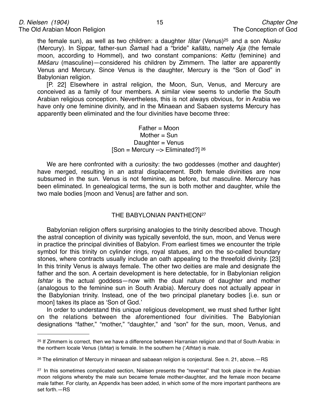the female sun), as well as two children: a daughter *I*š*tar* (Venus[\)25](#page-14-0) and a son *Nusku* (Mercury). In Sippar, father-sun Š*ama*š had a "bride" *kall*ā*tu,* namely *Aja* (the female moon, according to Hommel), and two constant companions: *Kettu* (feminine) and *M*ēš*aru* (masculine)—considered his children by Zimmern. The latter are apparently Venus and Mercury. Since Venus is the daughter, Mercury is the "Son of God" in Babylonian religion.

[P. 22] Elsewhere in astral religion, the Moon, Sun, Venus, and Mercury are conceived as a family of four members. A similar view seems to underlie the South Arabian religious conception. Nevertheless, this is not always obvious, for in Arabia we have only one feminine divinity, and in the Minaean and Sabaen systems Mercury has apparently been eliminated and the four divinities have become three:

## Father = Moon Mother = Sun Daughter = Venus [Son = Mercury --> Eliminated?]  $26$

We are here confronted with a curiosity: the two goddesses (mother and daughter) have merged, resulting in an astral displacement. Both female divinities are now subsumed in the sun. Venus is not feminine, as before, but masculine. Mercury has been eliminated. In genealogical terms, the sun is both mother and daughter, while the two male bodies [moon and Venus] are father and son.

## THE BABYLONIAN PANTHEON<sup>27</sup>

Babylonian religion offers surprising analogies to the trinity described above. Though the astral conception of divinity was typically sevenfold, the sun, moon, and Venus were in practice the principal divinities of Babylon. From earliest times we encounter the triple symbol for this trinity on cylinder rings, royal statues, and on the so-called boundary stones, where contracts usually include an oath appealing to the threefold divinity. [23] In this trinity Venus is always female. The other two deities are male and designate the father and the son. A certain development is here detectable, for in Babylonian religion *Ishtar* is the actual goddess—now with the dual nature of daughter and mother (analogous to the feminine sun in South Arabia). Mercury does not actually appear in the Babylonian trinity. Instead, one of the two principal planetary bodies [i.e. sun or moon] takes its place as ʻSon of God.'

In order to understand this unique religious development, we must shed further light on the relations between the aforementioned four divinities. The Babylonian designations "father," "mother," "daughter," and "son" for the sun, moon, Venus, and

<span id="page-14-0"></span><sup>25</sup> If Zimmern is correct, then we have a difference between Harranian religion and that of South Arabia: in the northern locale Venus (*Ishtar*) is female. In the southern he (ʻ*Athtar*) is male.

<span id="page-14-1"></span><sup>26</sup> The elimination of Mercury in minaean and sabaean religion is conjectural. See n. 21, above.—RS

<span id="page-14-2"></span><sup>&</sup>lt;sup>27</sup> In this sometimes complicated section, Nielsen presents the "reversal" that took place in the Arabian moon religions whereby the male sun became female mother-daughter, and the female moon became male father. For clarity, an Appendix has been added, in which some of the more important pantheons are set forth.—RS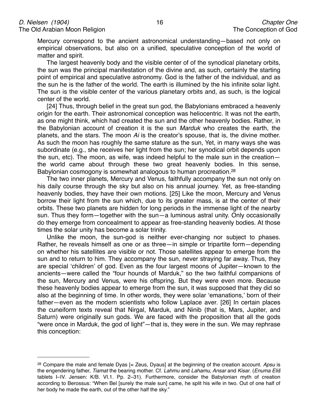Mercury correspond to the ancient astronomical understanding—based not only on empirical observations, but also on a unified, speculative conception of the world of matter and spirit.

The largest heavenly body and the visible center of of the synodical planetary orbits, the sun was the principal manifestation of the divine and, as such, certainly the starting point of empirical and speculative astronomy. God is the father of the individual, and as the sun he is the father of the world. The earth is illumined by the his infinite solar light. The sun is the visible center of the various planetary orbits and, as such, is the logical center of the world.

[24] Thus, through belief in the great sun god, the Babylonians embraced a heavenly origin for the earth. Their astronomical conception was heliocentric. It was not the earth, as one might think, which had created the sun and the other heavenly bodies. Rather, in the Babylonian account of creation it is the sun *Marduk* who creates the earth, the planets, and the stars. The moon *Ai* is the creator's spouse, that is, the divine mother. As such the moon has roughly the same stature as the sun, Yet, in many ways she was subordinate (e.g., she receives her light from the sun; her synodical orbit depends upon the sun, etc). The moon, as wife, was indeed helpful to the male sun in the creation the world came about through these two great heavenly bodies. In this sense, Babylonian cosmogony is somewhat analogous to human procreation.[28](#page-15-0)

The two inner planets, Mercury and Venus, faithfully accompany the sun not only on his daily course through the sky but also on his annual journey. Yet, as free-standing heavenly bodies, they have their own motions. [25] Like the moon, Mercury and Venus borrow their light from the sun which, due to its greater mass, is at the center of their orbits. These two planets are hidden for long periods in the immense light of the nearby sun. Thus they form—together with the sun—a luminous astral unity. Only occasionally do they emerge from concealment to appear as free-standing heavenly bodies. At those times the solar unity has become a solar trinity.

Unlike the moon, the sun-god is neither ever-changing nor subject to phases. Rather, he reveals himself as one or as three—in simple or tripartite form—depending on whether his satellites are visible or not. Those satellites appear to emerge from the sun and to return to him. They accompany the sun, never straying far away. Thus, they are special ʻchildren' of god. Even as the four largest moons of Jupiter—known to the ancients—were called the "four hounds of Marduk," so the two faithful companions of the sun, Mercury and Venus, were his offspring. But they were even more. Because these heavenly bodies appear to emerge from the sun, it was supposed that they did so also at the beginning of time. In other words, they were solar ʻemanations,' born of their father—even as the modern scientists who follow Laplace aver. [26] In certain places the cuneiform texts reveal that Nirgal, Marduk, and Ninib (that is, Mars, Jupiter, and Saturn) were originally sun gods. We are faced with the proposition that all the gods "were once in Marduk, the god of light"—that is, they were in the sun. We may rephrase this conception:

<span id="page-15-0"></span><sup>28</sup> Compare the male and female Dyas [= Zeus, Dyaus] at the beginning of the creation account. *Apsu* is the engendering father, *Tiamat* the bearing mother. Cf. *Lahmu* and *Lahamu, Ansar* and *Kisar*. (*Enuma Eli*š tablets I–IV. Jensen: K/B. VI.1. Pp. 2–31). Furthermore, consider the Babylonian myth of creation according to Berossus: "When Bel [surely the male sun] came, he split his wife in two. Out of one half of her body he made the earth, out of the other half the sky."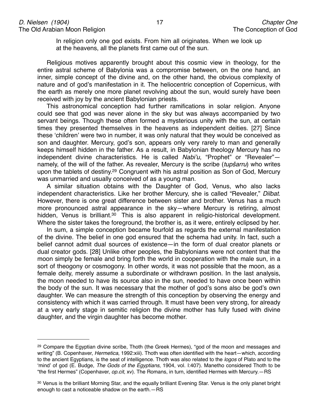In religion only one god exists. From him all originates. When we look up at the heavens, all the planets first came out of the sun.

Religious motives apparently brought about this cosmic view in theology, for the entire astral scheme of Babylonia was a compromise between, on the one hand, an inner, simple concept of the divine and, on the other hand, the obvious complexity of nature and of god's manifestation in it. The heliocentric conception of Copernicus, with the earth as merely one more planet revolving about the sun, would surely have been received with joy by the ancient Babylonian priests.

This astronomical conception had further ramifications in solar religion. Anyone could see that god was never alone in the sky but was always accompanied by two servant beings. Though these often formed a mysterious unity with the sun, at certain times they presented themselves in the heavens as independent deities. [27] Since these ʻchildren' were two in number, it was only natural that they would be conceived as son and daughter. Mercury, god's son, appears only very rarely to man and generally keeps himself hidden in the father. As a result, in Babylonian theology Mercury has no independent divine characteristics. He is called *Nabi*'*u*, "Prophet" or "Revealer" namely, of the will of the father. As revealer, Mercury is the scribe (*tup*š*arru*) who writes upon the tablets of destiny[.29](#page-16-0) Congruent with his astral position as Son of God, Mercury was unmarried and usually conceived of as a young man.

A similar situation obtains with the Daughter of God, Venus, who also lacks independent characteristics. Like her brother Mercury, she is called "Revealer," *Dilbat*. However, there is one great difference between sister and brother. Venus has a much more pronounced astral appearance in the sky—where Mercury is retiring, almost hidden, Venus is brilliant.<sup>[30](#page-16-1)</sup> This is also apparent in religio-historical development. Where the sister takes the foreground, the brother is, as it were, entirely eclipsed by her.

In sum, a simple conception became fourfold as regards the external manifestation of the divine. The belief in one god ensured that the schema had unity. In fact, such a belief cannot admit dual sources of existence—in the form of dual creator planets or dual creator gods. [28] Unlike other peoples, the Babylonians were not content that the moon simply be female and bring forth the world in cooperation with the male sun, in a sort of theogony or cosmogony. In other words, it was not possible that the moon, as a female deity, merely assume a subordinate or withdrawn position. In the last analysis, the moon needed to have its source also in the sun, needed to have once been within the body of the sun. It was necessary that the mother of god's sons also be god's own daughter. We can measure the strength of this conception by observing the energy and consistency with which it was carried through. It must have been very strong, for already at a very early stage in semitic religion the divine mother has fully fused with divine daughter, and the virgin daughter has become mother.

<span id="page-16-0"></span><sup>&</sup>lt;sup>29</sup> Compare the Egyptian divine scribe, Thoth (the Greek Hermes), "god of the moon and messages and writing" (B. Copenhaver, *Hermetica*, 1992:xiii). Thoth was often identified with the heart—which, according to the ancient Egyptians, is the seat of intelligence. Thoth was also related to the *logos* of Plato and to the ʻmind' of god (E. Budge, *The Gods of the Egyptians*, 1904, vol. I:407). Manetho considered Thoth to be "the first Hermes" (Copenhaver, *op.cit*, xv). The Romans, in turn, identified Hermes with Mercury.—RS

<span id="page-16-1"></span><sup>30</sup> Venus is the brilliant Morning Star, and the equally brilliant Evening Star. Venus is the only planet bright enough to cast a noticeable shadow on the earth.—RS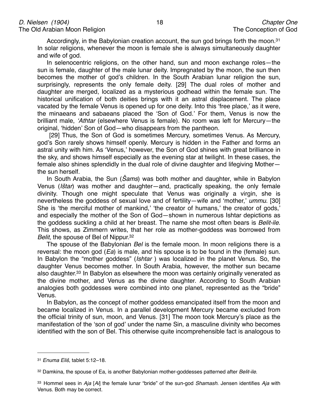Accordingly, in the Babylonian creation account, the sun god brings forth the moon.<sup>31</sup> In solar religions, whenever the moon is female she is always simultaneously daughter and wife of god.

In selenocentric religions, on the other hand, sun and moon exchange roles—the sun is female, daughter of the male lunar deity. Impregnated by the moon, the sun then becomes the mother of god's children. In the South Arabian lunar religion the sun, surprisingly, represents the only female deity. [29] The dual roles of mother and daughter are merged, localized as a mysterious godhead within the female sun. The historical unification of both deities brings with it an astral displacement. The place vacated by the female Venus is opened up for one deity. Into this ʻfree place,' as it were, the minaeans and sabaeans placed the ʻSon of God.' For them, Venus is now the brilliant male, ʻ*Athtar* (elsewhere Venus is female). No room was left for Mercury—the original, ʻhidden' Son of God—who disappears from the pantheon.

 [29] Thus, the Son of God is sometimes Mercury, sometimes Venus. As Mercury, god's Son rarely shows himself openly. Mercury is hidden in the Father and forms an astral unity with him. As ʻVenus,' however, the Son of God shines with great brilliance in the sky, and shows himself especially as the evening star at twilight. In these cases, the female also shines splendidly in the dual role of divine daughter and lifegiving Mother the sun herself.

In South Arabia, the Sun (Š*ams*) was both mother and daughter, while in Babylon Venus (*I*š*tar*) was mother and daughter—and, practically speaking, the only female divinity. Though one might speculate that Venus was originally a virgin, she is nevertheless the goddess of sexual love and of fertility—wife and ʻmother,' *ummu*. [30] She is ʻthe merciful mother of mankind,' ʻthe creator of humans,' the creator of gods,' and especially the mother of the Son of God—shown in numerous Ishtar depictions as the goddess suckling a child at her breast. The name she most often bears is *Belit-ile*. This shows, as Zimmern writes, that her role as mother-goddess was borrowed from *Belit*, the spouse of Bel of Nippur.<sup>32</sup>

The spouse of the Babylonian *Bel* is the female moon. In moon religions there is a reversal: the moon god (*Ea*) is male, and his spouse is to be found in the (female) sun. In Babylon the "mother goddess" (*Ishtar* ) was localized in the planet Venus. So, the daughter Venus becomes mother. In South Arabia, however, the mother sun became also daughter[.33](#page-17-2) In Babylon as elsewhere the moon was certainly originally venerated as the divine mother, and Venus as the divine daughter. According to South Arabian analogies both goddesses were combined into one planet, represented as the "bride" Venus.

In Babylon, as the concept of mother goddess emancipated itself from the moon and became localized in Venus. In a parallel development Mercury became excluded from the official trinity of sun, moon, and Venus. [31] The moon took Mercury's place as the manifestation of the ʻson of god' under the name Sin, a masculine divinity who becomes identified with the son of Bel. This otherwise quite incomprehensible fact is analogous to

<span id="page-17-0"></span><sup>31</sup> *Enuma Eli*š, tablet 5:12–18.

<span id="page-17-1"></span><sup>32</sup> Damkina, the spouse of Ea, is another Babylonian mother-goddesses patterned after *Belit-ile*.

<span id="page-17-2"></span><sup>33</sup> Hommel sees in *Aja* [*Ai*] the female lunar "bride" of the sun-god *Shamash*. Jensen identifies *Aja* with Venus. Both may be correct.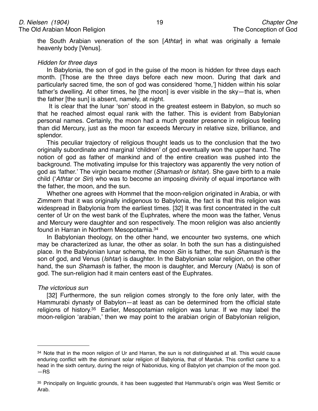the South Arabian veneration of the son [*Athtar*] in what was originally a female heavenly body [Venus].

#### *Hidden for three days*

In Babylonia, the son of god in the guise of the moon is hidden for three days each month. [Those are the three days before each new moon. During that dark and particularly sacred time, the son of god was considered ʻhome,'] hidden within his solar father's dwelling. At other times, he [the moon] is ever visible in the sky-that is, when the father [the sun] is absent, namely, at night.

 It is clear that the lunar ʻson' stood in the greatest esteem in Babylon, so much so that he reached almost equal rank with the father. This is evident from Babylonian personal names. Certainly, the moon had a much greater presence in religious feeling than did Mercury, just as the moon far exceeds Mercury in relative size, brilliance, and splendor.

This peculiar trajectory of religious thought leads us to the conclusion that the two originally subordinate and marginal ʻchildren' of god eventually won the upper hand. The notion of god as father of mankind and of the entire creation was pushed into the background. The motivating impulse for this trajectory was apparently the very notion of god as ʻfather.' The virgin became mother (*Shamash* or *Ishtar*). She gave birth to a male child (ʻ*Athtar* or *Sin*) who was to become an imposing divinity of equal importance with the father, the moon, and the sun.

Whether one agrees with Hommel that the moon-religion originated in Arabia, or with Zimmern that it was originally indigenous to Babylonia, the fact is that this religion was widespread in Babylonia from the earliest times. [32] It was first concentrated in the cult center of Ur on the west bank of the Euphrates, where the moon was the father, Venus and Mercury were daughter and son respectively. The moon religion was also anciently found in Harran in Northern Mesopotamia[.34](#page-18-0)

In Babylonian theology, on the other hand, we encounter two systems, one which may be characterized as lunar, the other as solar. In both the sun has a distinguished place. In the Babylonian lunar schema, the moon *Sin* is father, the sun *Shamash* is the son of god, and Venus (*Ishtar*) is daughter. In the Babylonian solar religion, on the other hand, the sun *Shamash* is father, the moon is daughter, and Mercury (*Nabu*) is son of god. The sun-religion had it main centers east of the Euphrates.

#### *The victorious sun*

[32] Furthermore, the sun religion comes strongly to the fore only later, with the Hammurabi dynasty of Babylon—at least as can be determined from the official state religions of history.<sup>35</sup> Earlier, Mesopotamian religion was lunar. If we may label the moon-religion ʻarabian,' then we may point to the arabian origin of Babylonian religion,

<span id="page-18-0"></span><sup>&</sup>lt;sup>34</sup> Note that in the moon religion of Ur and Harran, the sun is not distinguished at all. This would cause enduring conflict with the dominant solar religion of Babylonia, that of Marduk. This conflict came to a head in the sixth century, during the reign of Nabonidus, king of Babylon yet champion of the moon god. —RS

<span id="page-18-1"></span><sup>35</sup> Principally on linguistic grounds, it has been suggested that Hammurabi's origin was West Semitic or Arab.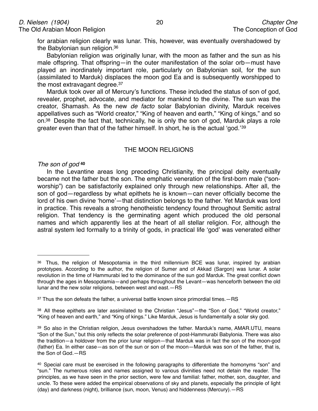for arabian religion clearly was lunar. This, however, was eventually overshadowed by the Babylonian sun religion[.36](#page-19-0)

Babylonian religion was originally lunar, with the moon as father and the sun as his male offspring. That offspring—in the outer manifestation of the solar orb—must have played an inordinately important role, particularly on Babylonian soil, for the sun (assimilated to Marduk) displaces the moon god Ea and is subsequently worshipped to the most extravagant degree[.37](#page-19-1)

Marduk took over all of Mercury's functions. These included the status of son of god, revealer, prophet, advocate, and mediator for mankind to the divine. The sun was the creator, Shamash. As the new *de facto* solar Babylonian divinity, Marduk receives appellatives such as "World creator," "King of heaven and earth," "King of kings," and so on[.38](#page-19-2) Despite the fact that, technically, he is only the son of god, Marduk plays a role greater even than that of the father himself. In short, he is the actual ʻgod.'[39](#page-19-3)

#### THE MOON RELIGIONS

#### *The son of god* **[40](#page-19-4)**

In the Levantine areas long preceding Christianity, the principal deity eventually became not the father but the son. The emphatic veneration of the first-born male ("sonworship") can be satisfactorily explained only through new relationships. After all, the son of god—regardless by what epithets he is known—can never officially become the lord of his own divine ʻhome'—that distinction belongs to the father. Yet Marduk was lord in practice. This reveals a strong henotheistic tendency found throughout Semitic astral religion. That tendency is the germinating agent which produced the old personal names and which apparently lies at the heart of all stellar religion. For, although the astral system led formally to a trinity of gods, in practical life ʻgod' was venerated either

<span id="page-19-0"></span><sup>&</sup>lt;sup>36</sup> Thus, the religion of Mesopotamia in the third millennium BCE was lunar, inspired by arabian prototypes. According to the author, the religion of Sumer and of Akkad (Sargon) was lunar. A solar revolution in the time of Hammurabi led to the dominance of the sun god Marduk. The great conflict down through the ages in Mesopotamia—and perhaps throughout the Levant—was henceforth between the old lunar and the new solar religions, between west and east.—RS

<span id="page-19-1"></span> $37$  Thus the son defeats the father, a universal battle known since primordial times. $-RS$ 

<span id="page-19-2"></span><sup>38</sup> All these epithets are later assimilated to the Christian "Jesus"—the "Son of God," "World creator," "King of heaven and earth," and "King of kings." Like Marduk, Jesus is fundamentally a solar sky god.

<span id="page-19-3"></span><sup>39</sup> So also in the Christian religion, Jesus overshadows the father. Marduk's name, AMAR.UTU, means "Son of the Sun," but this only reflects the solar preference of post-Hammurabi Babylonia. There was also the tradition—a holdover from the prior lunar religion—that Marduk was in fact the son of the moon-god (father) Ea. In either case—as son of the sun or son of the moon—Marduk was son of the father, that is, the Son of God.—RS

<span id="page-19-4"></span><sup>40</sup> Special care must be exercised in the following paragraphs to differentiate the homonyms "son" and "sun." The numerous roles and names assigned to various divinities need not detain the reader. The principles, as we have seen in the prior section, were few and familial: father, mother, son, daughter, and uncle. To these were added the empirical observations of sky and planets, especially the principle of light (day) and darkness (night), brilliance (sun, moon, Venus) and hiddenness (Mercury).—RS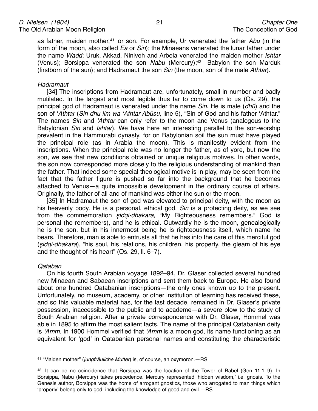as father, maiden mother,[41](#page-20-0) or son. For example, Ur venerated the father *Abu* (in the form of the moon, also called *Ea* or *Sin*); the Minaeans venerated the lunar father under the name *Wadd*; Uruk, Akkad, Niniveh and Arbela venerated the maiden mother *Ishtar* (Venus); Borsippa venerated the son *Nabu* (Mercury)[;42](#page-20-1) Babylon the son Marduk (firstborn of the sun); and Hadramaut the son *Sin* (the moon, son of the male *Athtar*).

#### *Hadramaut*

[34] The inscriptions from Hadramaut are, unfortunately, small in number and badly mutilated. In the largest and most legible thus far to come down to us (Os. 29), the principal god of Hadramaut is venerated under the name *Sin*. He is male (*dh*ū) and the son of ʻ*Athtar* (*Sin dhu ilm wa* ʻ*Athtar Ab*ū*su*, line 5), "Sin of God and his father ʻAthtar." The names *Sin* and ʻ*Athtar* can only refer to the moon and Venus (analogous to the Babylonian *Sin* and *Ishtar*). We have here an interesting parallel to the son-worship prevalent in the Hammurabi dynasty, for on Babylonian soil the sun must have played the principal role (as in Arabia the moon). This is manifestly evident from the inscriptions. When the principal role was no longer the father, as of yore, but now the son, we see that new conditions obtained or unique religious motives. In other words, the son now corresponded more closely to the religious understanding of mankind than the father. That indeed some special theological motive is in play, may be seen from the fact that the father figure is pushed so far into the background that he becomes attached to Venus—a quite impossible development in the ordinary course of affairs. Originally, the father of all and of mankind was either the sun or the moon.

[35] In Hadramaut the son of god was elevated to principal deity, with the moon as his heavenly body. He is a personal, ethical god. *Sin* is a protecting deity, as we see from the commemoration ş*idqi-dhakara*, "My Righteousness remembers." God is personal (he remembers), and he is ethical. Outwardly he is the moon, genealogically he is the son, but in his innermost being he is righteousness itself, which name he bears. Therefore, man is able to entrusts all that he has into the care of this merciful god (ş*idqi-dhakara*), "his soul, his relations, his children, his property, the gleam of his eye and the thought of his heart" (Os. 29, ll. 6–7).

#### *Qataban*

On his fourth South Arabian voyage 1892–94, Dr. Glaser collected several hundred new Minaean and Sabaean inscriptions and sent them back to Europe. He also found about one hundred Qatabanian inscriptions—the only ones known up to the present. Unfortunately, no museum, academy, or other institution of learning has received these, and so this valuable material has, for the last decade, remained in Dr. Glaser's private possession, inaccessible to the public and to academe—a severe blow to the study of South Arabian religion. After a private correspondence with Dr. Glaser, Hommel was able in 1895 to affirm the most salient facts. The name of the principal Qatabanian deity is ʻ*Amm*. In 1900 Hommel verified that ʻ*Amm* is a moon god, its name functioning as an equivalent for ʻgod' in Qatabanian personal names and constituting the characteristic

<span id="page-20-0"></span><sup>41 &</sup>quot;Maiden mother" (*jungfräuliche Mutter*) is, of course, an oxymoron.—RS

<span id="page-20-1"></span><sup>42</sup> It can be no coincidence that Borsippa was the location of the Tower of Babel (Gen 11:1–9). In Borsippa, Nabu (Mercury) takes precedence. Mercury represented ʻhidden wisdom,' i.e. gnosis. To the Genesis author, Borsippa was the home of arrogant gnostics, those who arrogated to man things which ʻproperly' belong only to god, including the knowledge of good and evil.—RS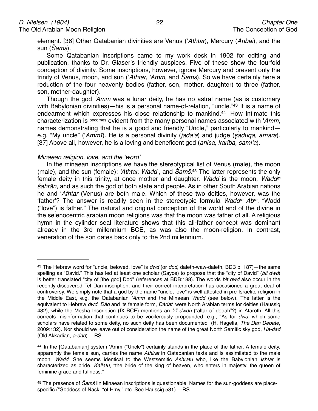element. [36] Other Qatabanian divinities are Venus (ʻ*Athtar*), Mercury (*Anbai*), and the sun (Š*ams*).

Some Qatabanian inscriptions came to my work desk in 1902 for editing and publication, thanks to Dr. Glaser's friendly auspices. Five of these show the fourfold conception of divinity. Some inscriptions, however, ignore Mercury and present only the trinity of Venus, moon, and sun (ʻ*Athtar,* ʻ*Amm,* and Š*ams*). So we have certainly here a reduction of the four heavenly bodies (father, son, mother, daughter) to three (father, son, mother-daughter).

Though the god ʻ*Amm* was a lunar deity, he has no astral name (as is customary with Babylonian divinities)—his is a personal name-of-relation, "uncle."<sup>43</sup> It is a name of endearment which expresses his close relationship to mankind.<sup>44</sup> How intimate this characterization is becomes evident from the many personal names associated with ʻ*Amm*, names demonstrating that he is a good and friendly "Uncle," particularly to mankind e.g. "My uncle" (ʻ*Amm*ī). He is a personal divinity (*jada*ʻ*a*) and judge (ş*aduqa, amara*). [37] Above all, however, he is a loving and beneficent god (*anisa, kariba, sami*ʻ*a*).

#### *Minaean religion, love, and the* ʻ*word*'

In the minaean inscriptions we have the stereotypical list of Venus (male), the moon (male), and the sun (female): ʻ*Athtar, Wadd ,* and Š*am*š. [45](#page-21-2) The latter represents the only female deity in this trinity, at once mother and daughter. *Wadd* is the moon, *Waddm*  š*ahr*ā*n*, and as such the god of both state and people. As in other South Arabian nations he and ʻ*Athtar* (Venus) are both male. Which of these two deities, however, was the ʻfather'? The answer is readily seen in the stereotypic formula *Waddm Abm*, "Wadd ("love") is father." The natural and original conception of the world and of the divine in the selenocentric arabian moon religions was that the moon was father of all. A religious hymn in the cylinder seal literature shows that this all-father concept was dominant already in the 3rd millennium BCE, as was also the moon-religion. In contrast, veneration of the son dates back only to the 2nd millennium.

<span id="page-21-0"></span><sup>43</sup> The Hebrew word for "uncle, beloved, love" is *dwd* (or *dod*, daleth-waw-daleth, BDB p. 187)—the same spelling as "David." This has led at least one scholar (Sayce) to propose that the "city of David" (*bit dwd*) is better translated "city of [the god] Dod" (references at BDB:188). The words *bit dwd* also occur in the recently-discovered Tel Dan inscription, and their correct interpretation has occasioned a great deal of controversy. We simply note that a god by the name "uncle, love" is well attested in pre-Israelite religion in the Middle East, e.g. the Qatabanian ʻ*Amm* and the Minaean *Wadd* (see below). The latter is the equivalent to Hebrew *dwd*. *D*ā*d* and its female form, *D*ā*dat*, were North Arabian terms for deities (Haussig 432), while the Mesha Inscription (IX BCE) mentions an '*r*'*l dwdh* ("altar of dodah"?) in Ataroth. All this corrects misinformation that continues to be vociferously propounded, e.g., "As for *dwd*, which some scholars have related to some deity, no such deity has been documented" (H. Hagelia, *The Dan Debate*, 2009:132). Nor should we leave out of consideration the name of the great North Semitic sky god, *Ha-dad* (Old Akkadian, *a-dad*).—RS

<span id="page-21-1"></span><sup>44</sup> In the [Qatabanian] system ʻAmm ("Uncle") certainly stands in the place of the father. A female deity, apparently the female sun, carries the name *Athirat* in Qatabanian texts and is assimilated to the male moon, *Wadd*. She seems identical to the Westsemitic *Ashratu* who, like the Babylonian *Ishtar* is characterized as bride, *Kallatu*, "the bride of the king of heaven, who enters in majesty, the queen of feminine grace and fullness."

<span id="page-21-2"></span><sup>45</sup> The presence of Š*am*š iin Minaean inscriptions is questionable. Names for the sun-goddess are placespecific ("Goddess of Našk, "of Hmy," etc. See Haussig 531).—RS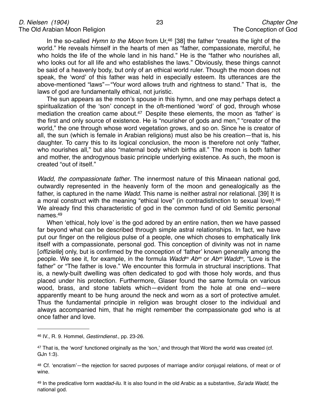In the so-called *Hymn to the Moon* from Ur,<sup>46</sup> [38] the father "creates the light of the world." He reveals himself in the hearts of men as "father, compassionate, merciful, he who holds the life of the whole land in his hand." He is the "father who nourishes all, who looks out for all life and who establishes the laws." Obviously, these things cannot be said of a heavenly body, but only of an ethical world ruler. Though the moon does not speak, the ʻword' of this father was held in especially esteem. Its utterances are the above-mentioned "laws"—"Your word allows truth and rightness to stand." That is, the laws of god are fundamentally ethical, not juristic.

The sun appears as the moon's spouse in this hymn, and one may perhaps detect a spiritualization of the ʻson' concept in the oft-mentioned ʻword' of god, through whose mediation the creation came about.<sup>47</sup> Despite these elements, the moon as 'father' is the first and only source of existence. He is "nourisher of gods and men," "creator of the world," the one through whose word vegetation grows, and so on. Since he is creator of all, the sun (which is female in Arabian religions) must also be his creation—that is, his daughter. To carry this to its logical conclusion, the moon is therefore not only "father, who nourishes all," but also "maternal body which births all." The moon is both father and mother, the androgynous basic principle underlying existence. As such, the moon is created "out of itself."

*Wadd, the compassionate father*. The innermost nature of this Minaean national god, outwardly represented in the heavenly form of the moon and genealogically as the father, is captured in the name *Wadd*. This name is neither astral nor relational. [39] It is a moral construct with the meaning "ethical love" (in contradistinction to sexual love).<sup>48</sup> We already find this characteristic of god in the common fund of old Semitic personal names[.49](#page-22-3)

When ʻethical, holy love' is the god adored by an entire nation, then we have passed far beyond what can be described through simple astral relationships. In fact, we have put our finger on the religious pulse of a people, one which choses to emphatically link itself with a compassionate, personal god. This conception of divinity was not in name [*offizielle*] only, but is confirmed by the conception of ʻfather' known generally among the people. We see it, for example, in the formula *Waddm Abm* or *Abm Waddm*, "Love is the father" or "The father is love." We encounter this formula in structural inscriptions. That is, a newly-built dwelling was often dedicated to god with those holy words, and thus placed under his protection. Furthermore, Glaser found the same formula on various wood, brass, and stone tablets which—evident from the hole at one end—were apparently meant to be hung around the neck and worn as a sort of protective amulet. Thus the fundamental principle in religion was brought closer to the individual and always accompanied him, that he might remember the compassionate god who is at once father and love.

<span id="page-22-0"></span><sup>46</sup> IV., R. 9. Hommel, *Gestirndienst*., pp. 23-26.

<span id="page-22-1"></span><sup>47</sup> That is, the 'word' functioned originally as the 'son,' and through that Word the world was created (cf. GJn 1:3).

<span id="page-22-2"></span><sup>48</sup> Cf. ʻencratism'—the rejection for sacred purposes of marriage and/or conjugal relations, of meat or of wine.

<span id="page-22-3"></span><sup>49</sup> In the predicative form *waddad-ilu*. It is also found in the old Arabic as a substantive, *Sa*ʻ*ada Wadd*, the national god.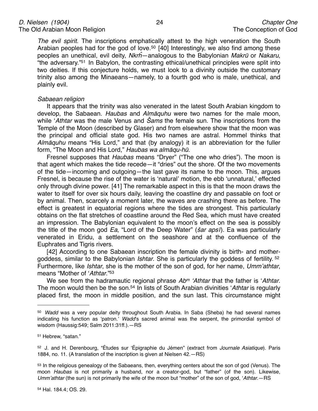*The evil spirit.* The inscriptions emphatically attest to the high veneration the South Arabian peoples had for the god of love.<sup>[50](#page-23-0)</sup> [40] Interestingly, we also find among these peoples an unethical, evil deity, *Nkr*ĥ—analogous to the Babylonian *Makr*ū or *Nakaru*, "the adversary.["51](#page-23-1) In Babylon, the contrasting ethical/unethical principles were split into two deities. If this conjecture holds, we must look to a divinity outside the customary trinity also among the Minaeans—namely, to a fourth god who is male, unethical, and plainly evil.

#### *Sabaean religion*

It appears that the trinity was also venerated in the latest South Arabian kingdom to develop, the Sabaean. *Haubas* and *Alm*ā*quhu* were two names for the male moon, while ʻ*Athtar* was the male Venus and Š*ams* the female sun. The inscriptions from the Temple of the Moon (described by Glaser) and from elsewhere show that the moon was the principal and official state god. His two names are astral. Hommel thinks that *Alm*ā*quhu* means "His Lord," and that (by analogy) it is an abbreviation for the fuller form, "The Moon and His Lord," *Haubas wa alm*ā*qu-h*ū.

Fresnel supposes that *Haubas* means "Dryer" ("The one who dries"). The moon is that agent which makes the tide recede—it "dries" out the shore. Of the two movements of the tide—incoming and outgoing—the last gave its name to the moon. This, argues Fresnel, is because the rise of the water is ʻnatural' motion, the ebb ʻunnatural,' effected only through divine power. [41] The remarkable aspect in this is that the moon draws the water to itself for over six hours daily, leaving the coastline dry and passable on foot or by animal. Then, scarcely a moment later, the waves are crashing there as before. The effect is greatest in equatorial regions where the tides are strongest. This particularly obtains on the flat stretches of coastline around the Red Sea, which must have created an impression. The Babylonian equivalent to the moon's effect on the sea is possibly the title of the moon god *Ea*, "Lord of the Deep Water" (š*ar aps*ī). Ea was particularly venerated in Eridu, a settlement on the seashore and at the confluence of the Euphrates and Tigris rivers.

[42] According to one Sabaean inscription the female divinity is birth- and mothergoddess, similar to the Babylonian *Ishtar*. She is particularly the goddess of fertility. [52](#page-23-2) Furthermore, like *Ishtar*, she is the mother of the son of god, for her name, *Umm*'*athtar*, means "Mother of ʻ*Athtar*.["53](#page-23-3)

We see from the hadramautic regional phrase *Abm* ʻ*Athtar* that the father is ʻ*Athtar*. The moon would then be the son.<sup>54</sup> In lists of South Arabian divinities *'Athtar* is regularly placed first, the moon in middle position, and the sun last. This circumstance might

<span id="page-23-0"></span><sup>50</sup> *Wadd* was a very popular deity throughout South Arabia. In Saba (Sheba) he had several names indicating his function as ʻpatron.' *Wadd*'s sacred animal was the serpent, the primordial symbol of wisdom (Haussig:549; Salm 2011:31ff.).—RS

<span id="page-23-1"></span><sup>51</sup> Hebrew, "satan."

<span id="page-23-2"></span><sup>52</sup> J. and H. Derenbourg, "Études sur ʻÉpigraphie du Jémen" (extract from *Journale Asiatique*). Paris 1884, no. 11. (A translation of the inscription is given at Nielsen 42.—RS)

<span id="page-23-4"></span><span id="page-23-3"></span><sup>53</sup> In the religious genealogy of the Sabaeans, then, everything centers about the son of god (Venus). The moon *Haubas* is not primarily a husband, nor a creator-god, but "father" (of the son). Likewise, *Umm*'*athtar* (the sun) is not primarily the wife of the moon but "mother" of the son of god, ʻ*Athtar*.—RS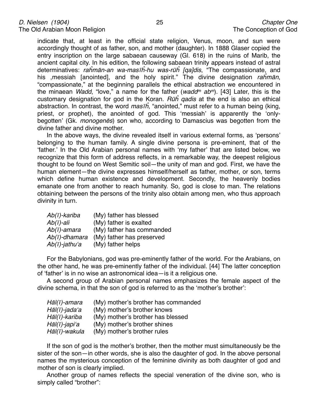indicate that, at least in the official state religion, Venus, moon, and sun were accordingly thought of as father, son, and mother (daughter). In 1888 Glaser copied the entry inscription on the large sabaean causeway (Gl. 618) in the ruins of Marib, the ancient capital city. In his edition, the following sabaean trinity appears instead of astral determinatives: *ra*ĥ*m*ā*n-an wa-mas*īĥ*-hu was-r*ūĥ *[qa]dis*, "The compassionate, and his ,messiah [anointed], and the holy spirit." The divine designation *ra*ĥ*m*ā*n*, "compassionate," at the beginning parallels the ethical abstraction we encountered in the minaean *Wadd*, "love," a name for the father (*waddm abm*). [43] Later, this is the customary designation for god in the Koran. *R*ūĥ *qadis* at the end is also an ethical abstraction. In contrast, the word *mas*īĥ, "anointed," must refer to a human being (king, priest, or prophet), the anointed of god. This ʻmessiah' is apparently the ʻonlybegotten' (Gk. *monogen*ē*s*) son who, according to Damascius was begotten from the divine father and divine mother.

In the above ways, the divine revealed itself in various external forms, as ʻpersons' belonging to the human family. A single divine persona is pre-eminent, that of the ʻfather.' In the Old Arabian personal names with ʻmy father' that are listed below, we recognize that this form of address reflects, in a remarkable way, the deepest religious thought to be found on West Semitic soil—the unity of man and god. First, we have the human element—the divine expresses himself/herself as father, mother, or son, terms which define human existence and development. Secondly, the heavenly bodies emanate one from another to reach humanity. So, god is close to man. The relations obtaining between the persons of the trinity also obtain among men, who thus approach divinity in turn.

| Ab(ī)-kariba  | (My) father has blessed   |
|---------------|---------------------------|
| Ab(ī)-ali     | (My) father is exalted    |
| Ab(ī)-amara   | (My) father has commanded |
| Ab(ī)-dhamara | (My) father has preserved |
| Ab(ī)-jathuʻa | (My) father helps         |

For the Babylonians, god was pre-eminently father of the world. For the Arabians, on the other hand, he was pre-eminently father of the individual. [44] The latter conception of ʻfather' is in no wise an astronomical idea—is it a religious one.

A second group of Arabian personal names emphasizes the female aspect of the divine schema, in that the son of god is referred to as the ʻmother's brother':

| (My) mother's brother has commanded |
|-------------------------------------|
| (My) mother's brother knows         |
| (My) mother's brother has blessed   |
| (My) mother's brother shines        |
| (My) mother's brother rules         |
|                                     |

If the son of god is the mother's brother, then the mother must simultaneously be the sister of the son—in other words, she is also the daughter of god. In the above personal names the mysterious conception of the feminine divinity as both daughter of god and mother of son is clearly implied.

Another group of names reflects the special veneration of the divine son, who is simply called "brother":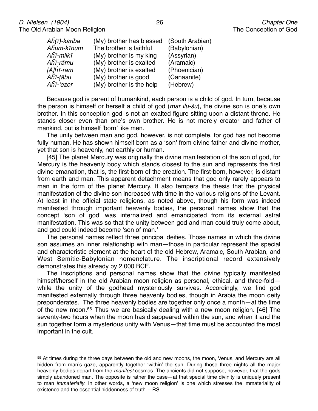| $A\hat{h}(\bar{\imath})$ -kariba | (My) brother has blessed | (South Arabian) |
|----------------------------------|--------------------------|-----------------|
| Aĥum-kīnum                       | The brother is faithful  | (Babylonian)    |
| Aĥī-milkī                        | (My) brother is my king  | (Assyrian)      |
| Aĥī-rāmu                         | (My) brother is exalted  | (Aramaic)       |
| $[A]$ hī-ram                     | (My) brother is exalted  | (Phoenician)    |
| Aĥī-ţābu                         | (My) brother is good     | (Canaanite)     |
| Aĥī-'ezer                        | (My) brother is the help | (Hebrew)        |

Because god is parent of humankind, each person is a child of god. In turn, because the person is himself or herself a child of god (*mar ilu-*š*u*), the divine son is one's own brother. In this conception god is not an exalted figure sitting upon a distant throne. He stands closer even than one's own brother. He is not merely creator and father of mankind, but is himself ʻborn' like men.

The unity between man and god, however, is not complete, for god has not become fully human. He has shown himself born as a 'son' from divine father and divine mother, yet that son is heavenly, not earthly or human.

[45] The planet Mercury was originally the divine manifestation of the son of god, for Mercury is the heavenly body which stands closest to the sun and represents the first divine emanation, that is, the first-born of the creation. The first-born, however, is distant from earth and man. This apparent detachment means that god only rarely appears to man in the form of the planet Mercury. It also tempers the thesis that the physical manifestation of the divine son increased with time in the various religions of the Levant. At least in the official state religions, as noted above, though his form was indeed manifested through important heavenly bodies, the personal names show that the concept ʻson of god' was internalized and emancipated from its external astral manifestation. This was so that the unity between god and man could truly come about, and god could indeed become ʻson of man.'

The personal names reflect three principal deities. Those names in which the divine son assumes an inner relationship with man—those in particular represent the special and characteristic element at the heart of the old Hebrew, Aramaic, South Arabian, and West Semitic-Babylonian nomenclature. The inscriptional record extensively demonstrates this already by 2,000 BCE.

The inscriptions and personal names show that the divine typically manifested himself/herself in the old Arabian moon religion as personal, ethical, and three-fold while the unity of the godhead mysteriously survives. Accordingly, we find god manifested externally through three heavenly bodies, though in Arabia the moon deity preponderates. The three heavenly bodies are together only once a month—at the time of the new moon.[55](#page-25-0) Thus we are basically dealing with a new moon religion. [46] The seventy-two hours when the moon has disappeared within the sun, and when it and the sun together form a mysterious unity with Venus—that time must be accounted the most important in the cult.

<span id="page-25-0"></span><sup>55</sup> At times during the three days between the old and new moons, the moon, Venus, and Mercury are all hidden from man's gaze, apparently together ʻwithin' the sun. During those three nights all the major heavenly bodies depart from the *manifest* cosmos. The ancients did not suppose, however, that the gods simply abandoned man. The opposite is rather the case—at that special time divinity is uniquely present to man *immaterially*. In other words, a ʻnew moon religion' is one which stresses the immateriality of existence and the essential hiddenness of truth  $-RS$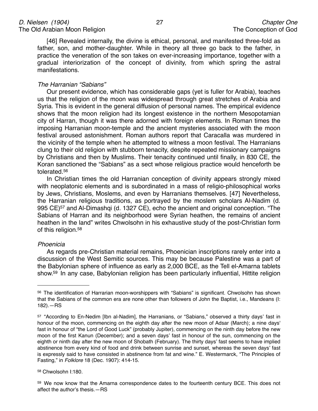[46] Revealed internally, the divine is ethical, personal, and manifested three-fold as father, son, and mother-daughter. While in theory all three go back to the father, in practice the veneration of the son takes on ever-increasing importance, together with a gradual interiorization of the concept of divinity, from which spring the astral manifestations.

#### *The Harranian "Sabians"*

Our present evidence, which has considerable gaps (yet is fuller for Arabia), teaches us that the religion of the moon was widespread through great stretches of Arabia and Syria. This is evident in the general diffusion of personal names. The empirical evidence shows that the moon religion had its longest existence in the northern Mesopotamian city of Harran, though it was there adorned with foreign elements. In Roman times the imposing Harranian moon-temple and the ancient mysteries associated with the moon festival aroused astonishment. Roman authors report that Caracalla was murdered in the vicinity of the temple when he attempted to witness a moon festival. The Harranians clung to their old religion with stubborn tenacity, despite repeated missionary campaigns by Christians and then by Muslims. Their tenacity continued until finally, in 830 CE, the Koran sanctioned the "Sabians" as a sect whose religious practice would henceforth be tolerated[.56](#page-26-0)

In Christian times the old Harranian conception of divinity appears strongly mixed with neoplatonic elements and is subordinated in a mass of religio-philosophical works by Jews, Christians, Moslems, and even by Harranians themselves. [47] Nevertheless, the Harranian religious traditions, as portrayed by the moslem scholars Al-Nadim (d. 995 CE)<sup>57</sup> and Al-Dimashqi (d. 1327 CE), echo the ancient and original conception. "The Sabians of Harran and its neighborhood were Syrian heathen, the remains of ancient heathen in the land" writes Chwolsohn in his exhaustive study of the post-Christian form of this religion.<sup>58</sup>

#### *Phoenicia*

As regards pre-Christian material remains, Phoenician inscriptions rarely enter into a discussion of the West Semitic sources. This may be because Palestine was a part of the Babylonian sphere of influence as early as 2,000 BCE, as the Tell el-Amarna tablets show[.59](#page-26-3) In any case, Babylonian religion has been particularly influential, Hittite religion

#### <span id="page-26-2"></span>58 Chwolsohn I:180.

<span id="page-26-0"></span><sup>56</sup> The identification of Harrarian moon-worshippers with "Sabians" is significant. Chwolsohn has shown that the Sabians of the common era are none other than followers of John the Baptist, i.e., Mandeans (I: 182).—RS

<span id="page-26-1"></span><sup>57 &</sup>quot;According to En-Nedim [Ibn al-Nadim], the Harranians, or "Sabians," observed a thirty days' fast in honour of the moon, commencing on the eighth day after the new moon of Adsar (March); a nine days' fast in honour of "the Lord of Good Luck" (probably Jupiter), commencing on the ninth day before the new moon of the first Kanun (December); and a seven days' fast in honour of the sun, commencing on the eighth or ninth day after the new moon of Shobath (February). The thirty days' fast seems to have implied abstinence from every kind of food and drink between sunrise and sunset, whereas the seven days' fast is expressly said to have consisted in abstinence from fat and wine." E. Westermarck, "The Principles of Fasting," in *Folklore* 18 (Dec. 1907): 414-15.

<span id="page-26-3"></span><sup>59</sup> We now know that the Amarna correspondence dates to the fourteenth century BCE. This does not affect the author's thesis.—RS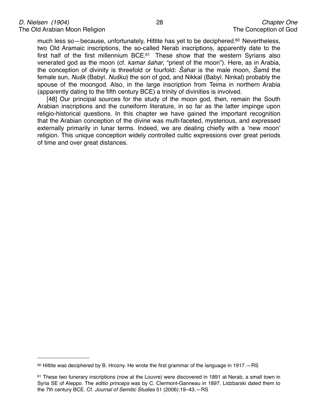much less so-because, unfortunately, Hittite has yet to be deciphered.<sup>60</sup> Nevertheless, two Old Aramaic inscriptions, the so-called Nerab inscriptions, apparently date to the first half of the first millennium BCE[.61](#page-27-1) These show that the western Syrians also venerated god as the moon (cf. *kamar* š*ahar*, "priest of the moon"). Here, as in Arabia, the conception of divinity is threefold or fourfold: Š*ahar* is the male moon, Š*am*š the female sun, *Nu*š*k* (Babyl. *Nu*š*ku*) the son of god, and Nikkal (Babyl. Ninkal) probably the spouse of the moongod. Also, in the large inscription from Teima in northern Arabia (apparently dating to the fifth century BCE) a trinity of divinities is involved.

[48] Our principal sources for the study of the moon god, then, remain the South Arabian inscriptions and the cuneiform literature, in so far as the latter impinge upon religio-historical questions. In this chapter we have gained the important recognition that the Arabian conception of the divine was multi-faceted, mysterious, and expressed externally primarily in lunar terms. Indeed, we are dealing chiefly with a ʻnew moon' religion. This unique conception widely controlled cultic expressions over great periods of time and over great distances.

<span id="page-27-0"></span> $60$  Hittite was deciphered by B. Hrozny. He wrote the first grammar of the language in 1917.  $-RS$ 

<span id="page-27-1"></span><sup>61</sup> These two funerary inscriptions (now at the Louvre) were discovered in 1891 at Nerab, a small town in Syria SE of Aleppo. The *editio princeps* was by C. Clermont-Ganneau in 1897. Lidzbarski dated them to the 7th century BCE. Cf. *Journal of Semitic Studies* 51 (2006):19–43.—RS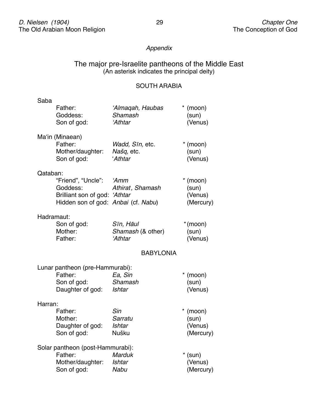## *Appendix*

## The major pre-Israelite pantheons of the Middle East (An asterisk indicates the principal deity)

## SOUTH ARABIA

| Saba       |                                     |                   |            |  |  |
|------------|-------------------------------------|-------------------|------------|--|--|
|            | Father:                             | 'Almaqah, Haubas  | $*$ (moon) |  |  |
|            | Goddess:                            | Shamash           | (sun)      |  |  |
|            | Son of god:                         | 'Athtar           | (Venus)    |  |  |
|            | Ma'in (Minaean)                     |                   |            |  |  |
|            | Father:                             | Wadd, Sīn, etc.   | $*$ (moon) |  |  |
|            | Mother/daughter:                    | Našq, etc.        | (sun)      |  |  |
|            | Son of god:                         | 'Athtar           | (Venus)    |  |  |
| Qataban:   |                                     |                   |            |  |  |
|            | "Friend", "Uncle":                  | 'Amm              | $*$ (moon) |  |  |
|            | Goddess:                            | Athirat, Shamash  | (sun)      |  |  |
|            | Brilliant son of god: 'Athtar       |                   | (Venus)    |  |  |
|            | Hidden son of god: Anbai (cf. Nabu) |                   | (Mercury)  |  |  |
| Hadramaut: |                                     |                   |            |  |  |
|            | Son of god:                         | Sīn, Hāul         | $*(moon)$  |  |  |
|            | Mother:                             | Shamash (& other) | (sun)      |  |  |
|            | Father:                             | 'Athtar           | (Venus)    |  |  |
|            |                                     | <b>BABYLONIA</b>  |            |  |  |
|            | Lunar pantheon (pre-Hammurabi):     |                   |            |  |  |
|            | Father:                             | Ea, Sin           | $*$ (moon) |  |  |
|            | Son of god:                         | Shamash           | (sun)      |  |  |
|            | Daughter of god:                    | Ishtar            | (Venus)    |  |  |
| Harran:    |                                     |                   |            |  |  |
|            | Father:                             | Sin               | (moon)     |  |  |
|            | Mother:                             | Sarratu           | (sun)      |  |  |
|            | Daughter of god:                    | Ishtar            | (Venus)    |  |  |
|            | Son of god:                         | Nušku             | (Mercury)  |  |  |
|            | Solar pantheon (post-Hammurabi):    |                   |            |  |  |
|            | Father:                             | <b>Marduk</b>     | $*$ (sun)  |  |  |
|            | Mother/daughter:                    | <b>Ishtar</b>     | (Venus)    |  |  |
|            | Son of god:                         | <b>Nabu</b>       | (Mercury)  |  |  |